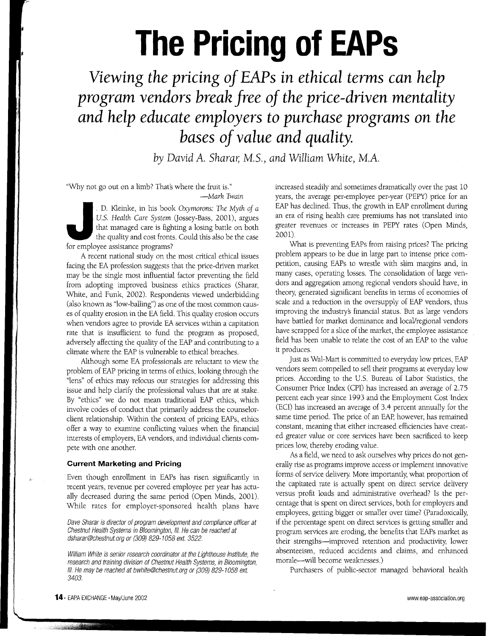# **The Pricing of EAPs**

**Viewing** *the pricing of* **EAPs** *in ethical* **terms** *can help program* **vendors** *break free of the price-driven mentality and help educate employers* **to** *purchase programs on the bases of* **value** *and quality.*

*by* David *A. Sharar, M.S., and* William *White, M.A.*

"Why not go out on a limb? That's where the fruit is."

*-Mark* Twain

D. Kleinke, in his boot U.S. Health Care System that managed care is figure that managed care is figure for employee assistance programs . D. Kleinke, in his book *Oxymorons: The Myth of a* U.S. *Health Care System* (Jossey-Bass, 2001), argues that managed care is fighting a losing battle on both the quality and cost fronts. Could this also be the case

A recent national study on the most critical ethical issues facing the EA profession suggests that the price-driven market may be the single most influential factor preventing the field from adopting improved business ethics practices (Sharar, White, and Funk, 2002). Respondents viewed underbidding (also known as "low-balling") as one of the most common causes of quality erosion in the EA field. This quality erosion occurs when vendors agree to provide EA services within a capitation rate that is insufficient to fund the program as proposed, adversely affecting the quality of the EAP and contributing to a climate where the EAP is vulnerable to ethical breaches.

Although some EA professionals are reluctant to view the problem of EAP pricing in terms of ethics, looking through the "lens" of ethics may refocus our strategies for addressing this issue and help clarify the professional values that are at stake. By "ethics" we do not mean traditional EAP ethics, which involve codes of conduct that primarily address the counselorclient relationship. Within the context of pricing EAPs, ethics offer a way to examine conflicting values when the financial interests of employers, EA vendors, and individual clients compete with one another.

## **Current Marketing and Pricing**

Even though enrollment in EAPs has risen significantly in recent years, revenue per covered employee per year has actually decreased during the same period (Open Minds, 2001). While rates for employer-sponsored health plans have

Dave Sharar is director of program development and compliance officer at Chestnut Health Systems in Bloomington, III. He can be reached at dSharar@chestnut.org or (309) 829-1058 ext. 3522.

William White is senior research coordinator at the Lighthouse Institute, the research and training division of Chestnut Health Systems, in Bloomington, III. He may be reached at bwhite@chestnut.org or (309) 829-1058 ext. 3403.

increased steadily and sometimes dramatically over the past 10 years, the average per-employee per-year (PEPY) price for an EAP has declined. Thus, the growth in EAP enrollment during an era of rising health care premiums has not translated into greater revenues or increases in PEPY rates (Open Minds, 2001).

What is preventing EAPs from raising prices? The pricing problem appears to be due in large part to intense price competition, causing EAPs to wrestle with slim margins and, in many cases, operating losses. The consolidation of large vendors and aggregation among regional vendors should have, in theory, generated significant benefits in terms of economies of scale and a reduction in the oversupply of EAP vendors, thus improving the industrys financial status. But as large vendors have battled for market dominance and local/regional vendors have scrapped for a slice of the market, the employee assistance field has been unable to relate the cost of an EAp to the value it produces.

Just as Wal-Mart is committed to everyday low prices, EAP vendors seem compelled to sell their programs at everyday low prices. According to the U.S. Bureau of Labor Statistics, the Consumer Price Index (CPI) has increased an average of 2.75 percent each year since 1993 and the Employment Cost Index (ECl) has increased an average of 3.4 percent annually for the same time period. The price of an EAP, however, has remained constant, meaning that either increased efficiencies have created greater value or core services have been sacrificed to keep prices low, thereby eroding value.

As a field, we need to ask ourselves why prices do not generally rise as programs improve access or implement innovative forms of service delivery. More importantly, what proportion of the capitated rate is actually spent on direct service delivery versus profit loads and administrative overhead? Is the percentage that is spent on direct services, both for employers and employees, getting bigger or smaller over time? (Paradoxically, if the percentage spent on direct services is getting smaller and program services are eroding, the benefits that EAPs market as their strengths-improved retention and productivity, lower absenteeism, reduced accidents and claims, and enhanced morale-will become weaknesses.)

Purchasers of public-sector managed behavioral health

**Service Controller**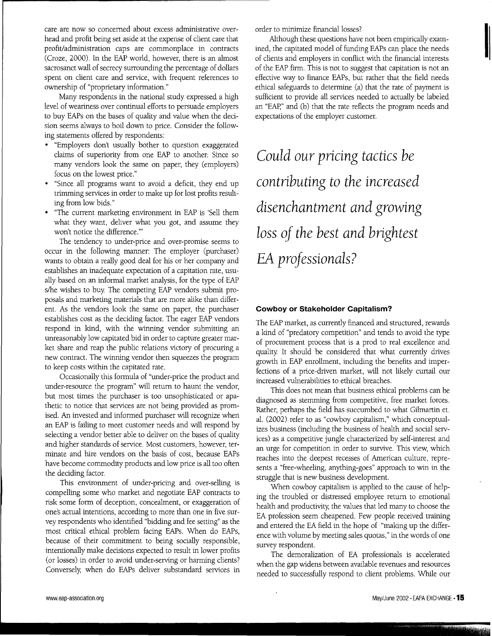care are now so concerned about excess administrative overhead and profit being set aside at the expense of client care that profit/administration caps are commonplace in contracts (Croze, 2000). In the EAP world, however, there is an almost sacrosanct wall of secrecy surrounding the percentage of dollars spent on client care and service, with frequent references to ownership of "proprietary information."

Many respondents in the national study expressed a high level of weariness over continual efforts to persuade employers to buy EAPs on the bases of quality and value when the decision seems always to boil down to price. Consider the following statements offered by respondents:

- . "Employers don't usually bother to question exaggerated claims of superiority from one EAP to another: Since so many vendors look the same on paper, they (employers) focus on the lowest price."
- . "Since all programs want to avoid <sup>a</sup> deficit, they end up trimming services in order to make up for lost profits resulting from low bids."
- . "The current marketing environment in EAP is 'Sell them what they want, deliver what you got, and assume they won't notice the difference.'''

The tendency to under-price and over-promise seems to occur in the following manner: The employer (purchaser) wants to obtain a really good deal for his or her company and establishes an inadequate expectation of a capitation rate, usually based on an informal market analysis, for the type of EAP s/he wishes to buy. The competing EAP vendors submit proposals and marketing materials that are more alike than different. As the vendors look the same on paper, the purchaser establishes cost as the deciding factor. The eager EAP vendors respond in kind, with the winning vendor submitting an unreasonably low capitated bid in order to capture greater market share and reap the public relations victory of procuring a new contract. The winning vendor then squeezes the program to keep costs within the capitated rate.

Occasionally this formula of "under-price the product and under-resource the program" will return to haunt the vendor, but most times the purchaser is too unsophisticated or apathetic to notice that services are not being provided as promised. An invested and informed purchaser will recognize when an EAP is failing to meet customer needs and will respond by selecting a vendor better able to deliver on the bases of quality and higher standards of service. Most customers, however, terminate and hire vendors on the basis of cost, because EAPs have become commodity products and low price is all too often the deciding factor.

This environment of under-pricing and over-selling is compelling some who market and negotiate EAP contracts to risk some form of deception, concealment, or exaggeration of one's actual intentions, according to more than one in five survey respondents who identified "bidding and fee setting" as the most critical ethical problem facing EAPs. When do EAPs, because of their commitment to being socially responsible, intentionally make decisions expected to result in lower profits (or losses) in order to avoid under-serving or harming clients? Conversely, when do EAPs deliver substandard services in order to minimize financial losses?

Although these questions have not been empirically examined, the capitated model of funding EAPs can place the needs of clients and employers in conflict with the financial interests of the EAP firm. This is not to suggest that capitation is not an effective way to finance EAPs, but rather that the field needs ethical safeguards to determine (a) that the rate of payment is sufficient to provide all services needed to actually be labeled an "EAp," and (b) that the rate reflects the program needs and expectations of the employer customer.

I:

Could our pricing tactics be contributing to the increased disenchantment and growing loss of the best and brightest EA professionals?

### **Cowboy or Stakeholder Capitalism?**

The EAP market, as currently financed and structured, rewards a kind of "predatory competition" and tends to avoid the type of procurement process that is a prod to real excellence and quality. It should be considered that what currently drives growth in EAP enrollment, including the benefits and imperfections of a price-driven market, will not likely curtail our increased vulnerabilities to ethical breaches.

This does not mean that business ethical problems can be diagnosed as stemming from competitive, free market forces. Rather, perhaps the field has succumbed to what Gilmartin et. al. (2002) refer to as "cowboy capitalism," which conceptualizes business (including the business of health and social services) as a competitive jungle characterized by self-interest and an urge for competition in order to survive. This view, which reaches into the deepest recesses of American culture, represents a "free-wheeling, anything-goes" approach to win in the struggle that is new business development.

When cowboy capitalism is applied to the cause of helping the troubled or distressed employee return to emotional health and productivity, the values that led many to choose the EA profession seem cheapened. Few people received training and entered the EA field in the hope of "making up the difference with volume by meeting sales quotas," in the words of one survey respondent.

The demoralization of EA professionals is accelerated when the gap widens between available revenues and resources needed to successfully respond to client problems. While our

**CONTRACTOR**